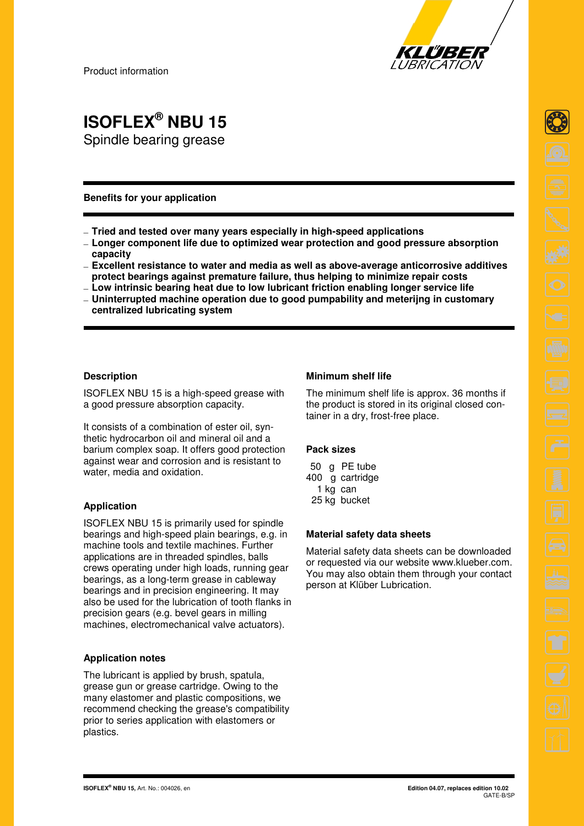

Product information

## **ISOFLEX® NBU 15**  Spindle bearing grease

#### **Benefits for your application**

- **Tried and tested over many years especially in high-speed applications**
- **Longer component life due to optimized wear protection and good pressure absorption capacity**
- **Excellent resistance to water and media as well as above-average anticorrosive additives protect bearings against premature failure, thus helping to minimize repair costs**
- **Low intrinsic bearing heat due to low lubricant friction enabling longer service life**
- **Uninterrupted machine operation due to good pumpability and meterijng in customary centralized lubricating system**

#### **Description**

ISOFLEX NBU 15 is a high-speed grease with a good pressure absorption capacity.

It consists of a combination of ester oil, synthetic hydrocarbon oil and mineral oil and a barium complex soap. It offers good protection against wear and corrosion and is resistant to water, media and oxidation.

### **Application**

ISOFLEX NBU 15 is primarily used for spindle bearings and high-speed plain bearings, e.g. in machine tools and textile machines. Further applications are in threaded spindles, balls crews operating under high loads, running gear bearings, as a long-term grease in cableway bearings and in precision engineering. It may also be used for the lubrication of tooth flanks in precision gears (e.g. bevel gears in milling machines, electromechanical valve actuators).

#### **Application notes**

The lubricant is applied by brush, spatula, grease gun or grease cartridge. Owing to the many elastomer and plastic compositions, we recommend checking the grease's compatibility prior to series application with elastomers or plastics.

#### **Minimum shelf life**

The minimum shelf life is approx. 36 months if the product is stored in its original closed container in a dry, frost-free place.

#### **Pack sizes**

|  | 50 g PE tube    |
|--|-----------------|
|  | 400 g cartridge |
|  | 1 kg can        |
|  | 25 kg bucket    |

#### **Material safety data sheets**

Material safety data sheets can be downloaded or requested via our website www.klueber.com. You may also obtain them through your contact person at Klüber Lubrication.